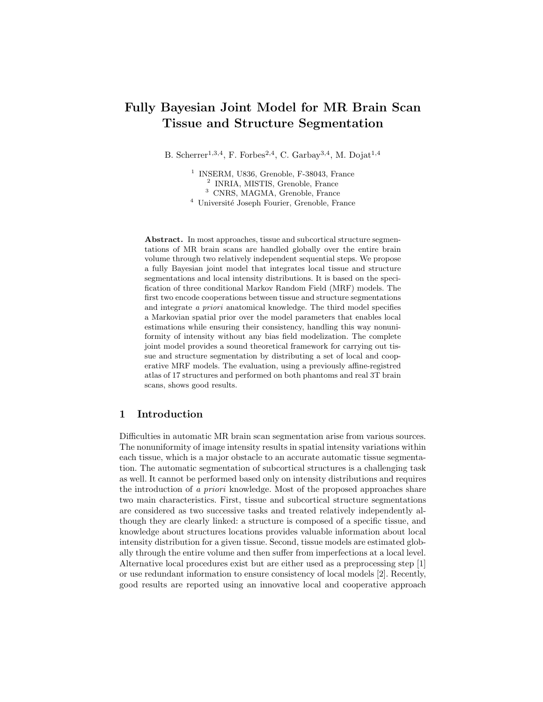# Fully Bayesian Joint Model for MR Brain Scan Tissue and Structure Segmentation

B. Scherrer<sup>1,3,4</sup>, F. Forbes<sup>2,4</sup>, C. Garbay<sup>3,4</sup>, M. Dojat<sup>1,4</sup>

<sup>1</sup> INSERM, U836, Grenoble, F-38043, France 2 INRIA, MISTIS, Grenoble, France <sup>3</sup> CNRS, MAGMA, Grenoble, France  $^4\,$ Université Joseph Fourier, Grenoble, France

Abstract. In most approaches, tissue and subcortical structure segmentations of MR brain scans are handled globally over the entire brain volume through two relatively independent sequential steps. We propose a fully Bayesian joint model that integrates local tissue and structure segmentations and local intensity distributions. It is based on the specification of three conditional Markov Random Field (MRF) models. The first two encode cooperations between tissue and structure segmentations and integrate a priori anatomical knowledge. The third model specifies a Markovian spatial prior over the model parameters that enables local estimations while ensuring their consistency, handling this way nonuniformity of intensity without any bias field modelization. The complete joint model provides a sound theoretical framework for carrying out tissue and structure segmentation by distributing a set of local and cooperative MRF models. The evaluation, using a previously affine-registred atlas of 17 structures and performed on both phantoms and real 3T brain scans, shows good results.

## 1 Introduction

Difficulties in automatic MR brain scan segmentation arise from various sources. The nonuniformity of image intensity results in spatial intensity variations within each tissue, which is a major obstacle to an accurate automatic tissue segmentation. The automatic segmentation of subcortical structures is a challenging task as well. It cannot be performed based only on intensity distributions and requires the introduction of a priori knowledge. Most of the proposed approaches share two main characteristics. First, tissue and subcortical structure segmentations are considered as two successive tasks and treated relatively independently although they are clearly linked: a structure is composed of a specific tissue, and knowledge about structures locations provides valuable information about local intensity distribution for a given tissue. Second, tissue models are estimated globally through the entire volume and then suffer from imperfections at a local level. Alternative local procedures exist but are either used as a preprocessing step [1] or use redundant information to ensure consistency of local models [2]. Recently, good results are reported using an innovative local and cooperative approach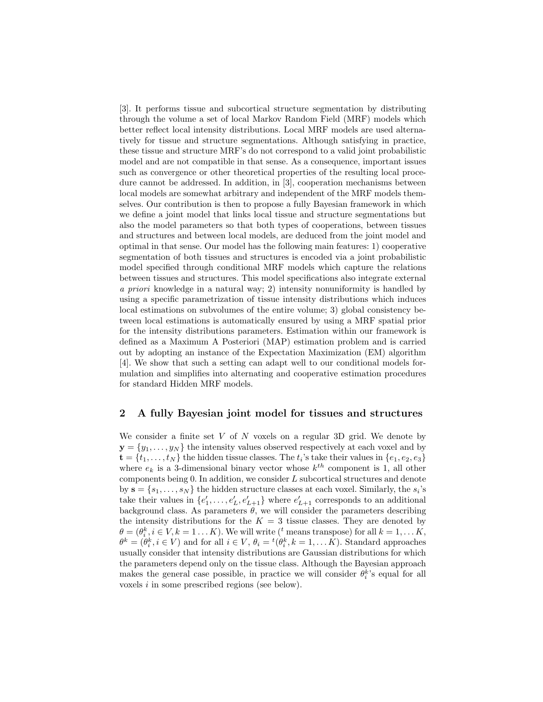[3]. It performs tissue and subcortical structure segmentation by distributing through the volume a set of local Markov Random Field (MRF) models which better reflect local intensity distributions. Local MRF models are used alternatively for tissue and structure segmentations. Although satisfying in practice, these tissue and structure MRF's do not correspond to a valid joint probabilistic model and are not compatible in that sense. As a consequence, important issues such as convergence or other theoretical properties of the resulting local procedure cannot be addressed. In addition, in [3], cooperation mechanisms between local models are somewhat arbitrary and independent of the MRF models themselves. Our contribution is then to propose a fully Bayesian framework in which we define a joint model that links local tissue and structure segmentations but also the model parameters so that both types of cooperations, between tissues and structures and between local models, are deduced from the joint model and optimal in that sense. Our model has the following main features: 1) cooperative segmentation of both tissues and structures is encoded via a joint probabilistic model specified through conditional MRF models which capture the relations between tissues and structures. This model specifications also integrate external a priori knowledge in a natural way; 2) intensity nonuniformity is handled by using a specific parametrization of tissue intensity distributions which induces local estimations on subvolumes of the entire volume; 3) global consistency between local estimations is automatically ensured by using a MRF spatial prior for the intensity distributions parameters. Estimation within our framework is defined as a Maximum A Posteriori (MAP) estimation problem and is carried out by adopting an instance of the Expectation Maximization (EM) algorithm [4]. We show that such a setting can adapt well to our conditional models formulation and simplifies into alternating and cooperative estimation procedures for standard Hidden MRF models.

### 2 A fully Bayesian joint model for tissues and structures

We consider a finite set V of N voxels on a regular 3D grid. We denote by  $y = \{y_1, \ldots, y_N\}$  the intensity values observed respectively at each voxel and by  $\mathbf{t} = \{t_1, \ldots, t_N\}$  the hidden tissue classes. The  $t_i$ 's take their values in  $\{e_1, e_2, e_3\}$ where  $e_k$  is a 3-dimensional binary vector whose  $k^{th}$  component is 1, all other components being  $0$ . In addition, we consider  $L$  subcortical structures and denote by  $\mathbf{s} = \{s_1, \ldots, s_N\}$  the hidden structure classes at each voxel. Similarly, the  $s_i$ 's take their values in  $\{e'_1, \ldots, e'_L, e'_{L+1}\}$  where  $e'_{L+1}$  corresponds to an additional background class. As parameters  $\theta$ , we will consider the parameters describing the intensity distributions for the  $K = 3$  tissue classes. They are denoted by  $\theta = (\theta_i^k, i \in V, k = 1...K)$ . We will write (<sup>t</sup> means transpose) for all  $k = 1,...K$ ,  $\theta^k = (\theta_i^k, i \in V)$  and for all  $i \in V$ ,  $\theta_i = {}^t(\theta_i^k, k = 1, \dots K)$ . Standard approaches usually consider that intensity distributions are Gaussian distributions for which the parameters depend only on the tissue class. Although the Bayesian approach makes the general case possible, in practice we will consider  $\theta_i^k$ 's equal for all voxels i in some prescribed regions (see below).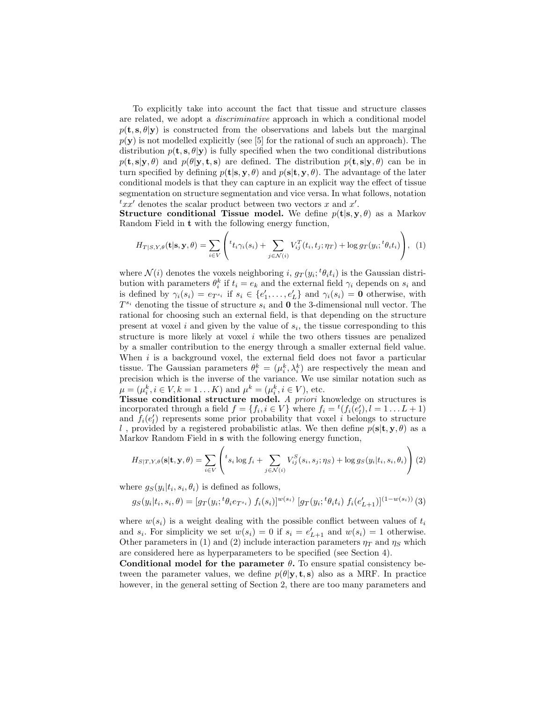To explicitly take into account the fact that tissue and structure classes are related, we adopt a discriminative approach in which a conditional model  $p(t, s, \theta | y)$  is constructed from the observations and labels but the marginal  $p(\mathbf{y})$  is not modelled explicitly (see [5] for the rational of such an approach). The distribution  $p(\mathbf{t}, \mathbf{s}, \theta | \mathbf{y})$  is fully specified when the two conditional distributions  $p(\mathbf{t}, \mathbf{s}|\mathbf{y}, \theta)$  and  $p(\theta|\mathbf{y}, \mathbf{t}, \mathbf{s})$  are defined. The distribution  $p(\mathbf{t}, \mathbf{s}|\mathbf{y}, \theta)$  can be in turn specified by defining  $p(\mathbf{t}|\mathbf{s}, \mathbf{y}, \theta)$  and  $p(\mathbf{s}|\mathbf{t}, \mathbf{y}, \theta)$ . The advantage of the later conditional models is that they can capture in an explicit way the effect of tissue segmentation on structure segmentation and vice versa. In what follows, notation  ${}^txx'$  denotes the scalar product between two vectors x and x'.

Structure conditional Tissue model. We define  $p(t|s, y, \theta)$  as a Markov Random Field in t with the following energy function,

$$
H_{T|S,Y,\theta}(\mathbf{t}|\mathbf{s},\mathbf{y},\theta) = \sum_{i\in V} \left( t_{t_i\gamma_i(s_i)} + \sum_{j\in \mathcal{N}(i)} V_{ij}^T(t_i,t_j;\eta_T) + \log g_T(y_i;{}^t\theta_i t_i) \right), \tag{1}
$$

where  $\mathcal{N}(i)$  denotes the voxels neighboring i,  $g_T(y_i; {}^t\theta_i t_i)$  is the Gaussian distribution with parameters  $\theta_i^k$  if  $t_i = e_k$  and the external field  $\gamma_i$  depends on  $s_i$  and is defined by  $\gamma_i(s_i) = e_{T^{s_i}}$  if  $s_i \in \{e'_1, \ldots, e'_L\}$  and  $\gamma_i(s_i) = \mathbf{0}$  otherwise, with  $T^{s_i}$  denoting the tissue of structure  $s_i$  and **0** the 3-dimensional null vector. The rational for choosing such an external field, is that depending on the structure present at voxel  $i$  and given by the value of  $s_i$ , the tissue corresponding to this structure is more likely at voxel  $i$  while the two others tissues are penalized by a smaller contribution to the energy through a smaller external field value. When  $i$  is a background voxel, the external field does not favor a particular tissue. The Gaussian parameters  $\theta_i^k = (\mu_i^k, \lambda_i^k)$  are respectively the mean and issue. The Gaussian parameters  $\sigma_i = (\mu_i, \lambda_i)$  are respectively the mean and precision which is the inverse of the variance. We use similar notation such as  $\mu = (\mu_i^k, i \in V, k = 1...K)$  and  $\mu^k = (\mu_i^k, i \in V)$ , etc.

Tissue conditional structure model. A priori knowledge on structures is incorporated through a field  $f = \{f_i, i \in V\}$  where  $f_i = {}^t(f_i(e'_i), i = 1...L+1)$ and  $f_i(e'_l)$  represents some prior probability that voxel i belongs to structure l, provided by a registered probabilistic atlas. We then define  $p(s|t, y, \theta)$  as a Markov Random Field in s with the following energy function,

$$
H_{S|T,Y,\theta}(\mathbf{s}|\mathbf{t},\mathbf{y},\theta) = \sum_{i\in V} \left( t_{s_i} \log f_i + \sum_{j\in \mathcal{N}(i)} V_{ij}^S(s_i,s_j;\eta_S) + \log g_S(y_i|t_i,s_i,\theta_i) \right) (2)
$$

where  $g_S(y_i|t_i, s_i, \theta_i)$  is defined as follows,

$$
g_S(y_i|t_i, s_i, \theta) = [g_T(y_i; {}^t\theta_i e_{T^{s_i}}) f_i(s_i)]^{w(s_i)} [g_T(y_i; {}^t\theta_i t_i) f_i(e'_{L+1})]^{(1-w(s_i))} (3)
$$

where  $w(s_i)$  is a weight dealing with the possible conflict between values of  $t_i$ and  $s_i$ . For simplicity we set  $w(s_i) = 0$  if  $s_i = e'_{L+1}$  and  $w(s_i) = 1$  otherwise. Other parameters in (1) and (2) include interaction parameters  $\eta_T$  and  $\eta_S$  which are considered here as hyperparameters to be specified (see Section 4).

Conditional model for the parameter  $\theta$ . To ensure spatial consistency between the parameter values, we define  $p(\theta|\mathbf{y}, \mathbf{t}, \mathbf{s})$  also as a MRF. In practice however, in the general setting of Section 2, there are too many parameters and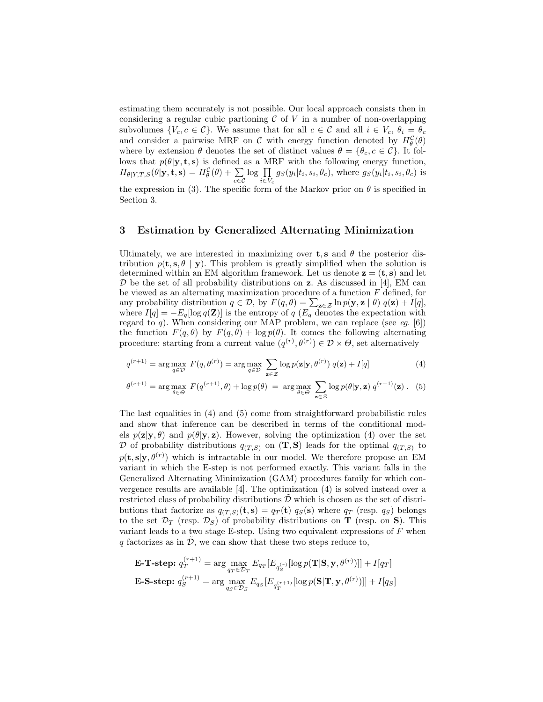estimating them accurately is not possible. Our local approach consists then in considering a regular cubic partioning  $\mathcal C$  of  $V$  in a number of non-overlapping subvolumes  $\{V_c, c \in \mathcal{C}\}\)$ . We assume that for all  $c \in \mathcal{C}$  and all  $i \in V_c$ ,  $\theta_i = \theta_c$ and consider a pairwise MRF on  $\mathcal C$  with energy function denoted by  $H^{\mathcal C}_{\theta}(\theta)$ where by extension  $\theta$  denotes the set of distinct values  $\theta = {\theta_c, c \in \mathcal{C}}$ . It follows that  $p(\theta|\mathbf{y}, \mathbf{t}, \mathbf{s})$  is defined as a MRF with the following energy function,  $H_{\theta|Y,T,S}(\theta|{\bf y},{\bf t},{\bf s})=H_{\theta}^{\mathcal C}(\theta)+\,\sum_{n}$ c∈C  $\log$   $\Pi$  $\prod_{i \in V_c} g_S(y_i|t_i, s_i, \theta_c)$ , where  $g_S(y_i|t_i, s_i, \theta_c)$  is the expression in (3). The specific form of the Markov prior on  $\theta$  is specified in

Section 3.

## 3 Estimation by Generalized Alternating Minimization

Ultimately, we are interested in maximizing over **t**, s and  $\theta$  the posterior distribution  $p(\mathbf{t}, \mathbf{s}, \theta | \mathbf{y})$ . This problem is greatly simplified when the solution is determined within an EM algorithm framework. Let us denote  $z = (t, s)$  and let  $\mathcal D$  be the set of all probability distributions on **z**. As discussed in [4], EM can be viewed as an alternating maximization procedure of a function  $F$  defined, for any probability distribution  $q \in \mathcal{D}$ , by  $F(q, \theta) = \sum_{\mathbf{z} \in \mathcal{Z}} \ln p(\mathbf{y}, \mathbf{z} | \theta) q(\mathbf{z}) + I[q]$ , where  $I[q] = -E_q[\log q(\mathbf{Z})]$  is the entropy of  $q(E_q)$  denotes the expectation with regard to  $q$ ). When considering our MAP problem, we can replace (see eg. [6]) the function  $F(q, \theta)$  by  $F(q, \theta) + \log p(\theta)$ . It comes the following alternating procedure: starting from a current value  $(q^{(r)}, \theta^{(r)}) \in \mathcal{D} \times \Theta$ , set alternatively

$$
q^{(r+1)} = \arg\max_{q \in \mathcal{D}} F(q, \theta^{(r)}) = \arg\max_{q \in \mathcal{D}} \sum_{\mathbf{z} \in \mathcal{Z}} \log p(\mathbf{z}|\mathbf{y}, \theta^{(r)}) q(\mathbf{z}) + I[q] \tag{4}
$$

$$
\theta^{(r+1)} = \arg \max_{\theta \in \Theta} F(q^{(r+1)}, \theta) + \log p(\theta) = \arg \max_{\theta \in \Theta} \sum_{\mathbf{z} \in \mathcal{Z}} \log p(\theta | \mathbf{y}, \mathbf{z}) q^{(r+1)}(\mathbf{z}). \tag{5}
$$

The last equalities in (4) and (5) come from straightforward probabilistic rules and show that inference can be described in terms of the conditional models  $p(\mathbf{z}|\mathbf{y}, \theta)$  and  $p(\theta|\mathbf{y}, \mathbf{z})$ . However, solving the optimization (4) over the set D of probability distributions  $q_{(T,S)}$  on  $(\mathbf{T}, \mathbf{S})$  leads for the optimal  $q_{(T,S)}$  to  $p(\mathbf{t}, \mathbf{s} | \mathbf{y}, \theta^{(r)})$  which is intractable in our model. We therefore propose an EM variant in which the E-step is not performed exactly. This variant falls in the Generalized Alternating Minimization (GAM) procedures family for which convergence results are available [4]. The optimization (4) is solved instead over a restricted class of probability distributions  $D$  which is chosen as the set of distributions that factorize as  $q_{(T,S)}(\mathbf{t}, \mathbf{s}) = q_T(\mathbf{t}) q_S(\mathbf{s})$  where  $q_T$  (resp.  $q_S$ ) belongs to the set  $\mathcal{D}_T$  (resp.  $\mathcal{D}_S$ ) of probability distributions on **T** (resp. on **S**). This variant leads to a two stage E-step. Using two equivalent expressions of  $F$  when q factorizes as in  $\mathcal{D}$ , we can show that these two steps reduce to,

$$
\begin{aligned} \n\mathbf{E}\text{-}\mathbf{T}\text{-}\mathbf{step:} \ q_T^{(r+1)} &= \arg\max_{q_T \in \mathcal{D}_T} E_{q_T} [E_{q_S^{(r)}}[\log p(\mathbf{T}|\mathbf{S}, \mathbf{y}, \theta^{(r)})]] + I[q_T] \\ \n\mathbf{E}\text{-}\mathbf{S}\text{-}\mathbf{step:} \ q_S^{(r+1)} &= \arg\max_{q_S \in \mathcal{D}_S} E_{q_S} [E_{q_T^{(r+1)}}[\log p(\mathbf{S}|\mathbf{T}, \mathbf{y}, \theta^{(r)})]] + I[q_S] \n\end{aligned}
$$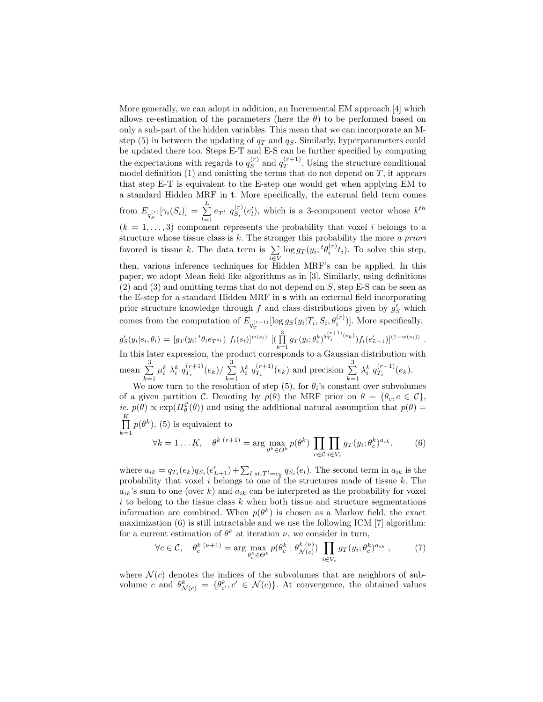More generally, we can adopt in addition, an Incremental EM approach [4] which allows re-estimation of the parameters (here the  $\theta$ ) to be performed based on only a sub-part of the hidden variables. This mean that we can incorporate an Mstep (5) in between the updating of  $q_T$  and  $q_S$ . Similarly, hyperparameters could be updated there too. Steps E-T and E-S can be further specified by computing the expectations with regards to  $q_S^{(r)}$  $s^{(r)}$  and  $q_T^{(r+1)}$  $T^{(r+1)}$ . Using the structure conditional model definition  $(1)$  and omitting the terms that do not depend on T, it appears that step E-T is equivalent to the E-step one would get when applying EM to a standard Hidden MRF in t. More specifically, the external field term comes from  $E_{q_S^{(r)}}[\gamma_i(S_i)] = \sum_{l=1}^L$  $\sum_{l=1}^{n} e_{T^l} q_{S_i}^{(r)}$  $S_i^{(r)}(e'_l)$ , which is a 3-component vector whose  $k^{th}$  $(k = 1, \ldots, 3)$  component represents the probability that voxel i belongs to a structure whose tissue class is  $k$ . The stronger this probability the more a priori favored is tissue k. The data term is  $\sum \log g_T(y_i; {}^t \theta_i^{(r)} t_i)$ . To solve this step, then, various inference techniques for Hidden MRF's can be applied. In this paper, we adopt Mean field like algorithms as in [3]. Similarly, using definitions  $(2)$  and  $(3)$  and omitting terms that do not depend on S, step E-S can be seen as the E-step for a standard Hidden MRF in s with an external field incorporating prior structure knowledge through  $f$  and class distributions given by  $g'_{S}$  which comes from the computation of  $E_{q_T^{(r+1)}}[\log g_S(y_i|T_i, S_i, \theta_i^{(r)})]$ . More specifically,  $g'_{S}(y_i|s_i,\theta_i) = [g_T(y_i; {}^t\theta_i e_{T^{s_i}}) \ f_i(s_i)]^{w(s_i)} \ [(\prod_{k=1}^3 g_T(y_i; \theta_i^k)^{q_{T_i}^{(r+1)}(e_k)}) f_i(e'_{L+1})]^{(1-w(s_i))} \ .$ In this later expression, the product corresponds to a Gaussian distribution with mean  $\sum_{n=1}^3$  $k=1$  $\mu_i^k$   $\lambda_i^k$   $q_{T_i}^{(r+1)}$  $\frac{(r+1)}{T_i}(e_k)/\sum_{i=1}^3$  $k=1$  $\lambda_i^k$   $q_{T_i}^{(r+1)}$  $T_i^{(r+1)}(e_k)$  and precision  $\sum_{k=1}^{3}$  $k=1$  $\lambda_i^k$   $q_{T_i}^{(r+1)}$  $T_i^{(r+1)}(e_k).$ We now turn to the resolution of step (5), for  $\theta_i$ 's constant over subvolumes

of a given partition C. Denoting by  $p(\theta)$  the MRF prior on  $\theta = {\theta_c, c \in \mathcal{C}}$ , *ie.*  $p(\theta) \propto \exp(H_{\theta}^{\mathcal{C}}(\theta))$  and using the additional natural assumption that  $p(\theta) =$  $\prod^K$  $k=1$  $p(\theta^k)$ , (5) is equivalent to  $\forall k = 1 \ldots K, \quad \theta^{k} \, (r+1) = \arg \max_{\theta^k \in \Theta^k} p(\theta^k) \, \prod_{\sigma \in \Theta^k}$  $\Pi$  $g_T(y_i;\theta^k_c)^{a_{ik}}$ . (6)

where  $a_{ik} = q_{T_i}(e_k)q_{S_i}(e'_{L+1}) + \sum_{l \; st. T^l = e_k} q_{S_i}(e_l)$ . The second term in  $a_{ik}$  is the probability that voxel i belongs to one of the structures made of tissue  $k$ . The  $a_{ik}$ 's sum to one (over k) and  $a_{ik}$  can be interpreted as the probability for voxel  $i$  to belong to the tissue class  $k$  when both tissue and structure segmentations information are combined. When  $p(\theta^k)$  is chosen as a Markov field, the exact maximization  $(6)$  is still intractable and we use the following ICM [7] algorithm: for a current estimation of  $\theta^k$  at iteration  $\nu$ , we consider in turn,

$$
\forall c \in \mathcal{C}, \quad \theta_c^k \,^{(\nu+1)} = \arg \max_{\theta_c^k \in \Theta^k} p(\theta_c^k \mid \theta_{\mathcal{N}(c)}^{k(\nu)}) \prod_{i \in V_c} g_T(y_i; \theta_c^k)^{a_{ik}},\tag{7}
$$

c∈C

 $i\in V_c$ 

where  $\mathcal{N}(c)$  denotes the indices of the subvolumes that are neighbors of subvolume c and  $\theta_{\mathcal{N}(c)}^k = \{\theta_{c'}^k, c' \in \mathcal{N}(c)\}.$  At convergence, the obtained values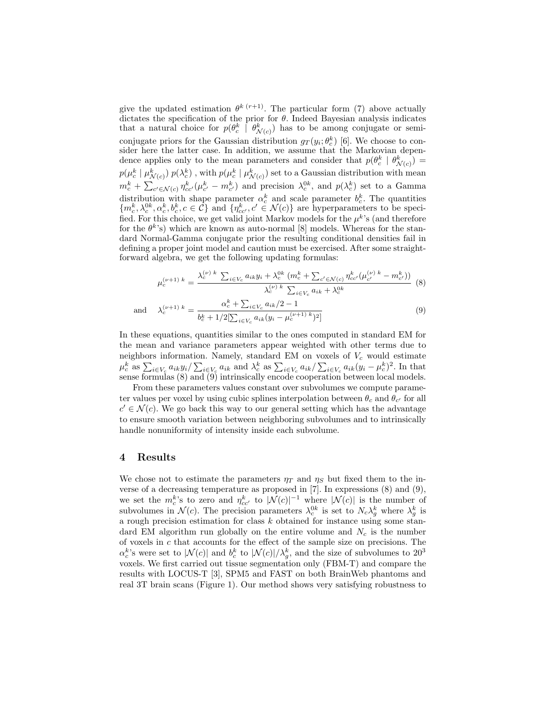give the updated estimation  $\theta^{k}(r+1)$ . The particular form (7) above actually dictates the specification of the prior for  $\theta$ . Indeed Bayesian analysis indicates that a natural choice for  $p(\theta_c^k \mid \theta_{\mathcal{N}(c)}^k)$  has to be among conjugate or semiconjugate priors for the Gaussian distribution  $g_T(y_i; \theta_c^k)$  [6]. We choose to consider here the latter case. In addition, we assume that the Markovian dependence applies only to the mean parameters and consider that  $p(\theta_c^k | \theta_{\mathcal{N}(c)}^k)$  =  $p(\mu_c^k \mid \mu_{\mathcal{N}(c)}^k) \ p(\lambda_c^k)$  , with  $p(\mu_c^k \mid \mu_{\mathcal{N}(c)}^k)$  set to a Gaussian distribution with mean  $m_c^k + \sum_{c' \in \mathcal{N}(c)} \eta_{cc'}^k(\mu_{c'}^k - m_{c'}^k)$  and precision  $\lambda_c^{0k}$ , and  $p(\lambda_c^k)$  set to a Gamma distribution with shape parameter  $\alpha_c^k$  and scale parameter  $b_c^k$ . The quantities  $\{m_c^k, \lambda_c^{0k}, \alpha_c^k, b_c^k, c \in \mathcal{C}\}\$ and  $\{\eta_{cc'}^k, c' \in \mathcal{N}(c)\}\$ are hyperparameters to be specified. For this choice, we get valid joint Markov models for the  $\mu^k$ 's (and therefore for the  $\theta^k$ 's) which are known as auto-normal [8] models. Whereas for the standard Normal-Gamma conjugate prior the resulting conditional densities fail in defining a proper joint model and caution must be exercised. After some straightforward algebra, we get the following updating formulas:

$$
\mu_c^{(\nu+1) k} = \frac{\lambda_c^{(\nu) k} \sum_{i \in V_c} a_{ik} y_i + \lambda_c^{0k} (m_c^k + \sum_{c' \in \mathcal{N}(c)} \eta_{cc'}^k (\mu_{c'}^{(\nu) k} - m_{c'}^k))}{\lambda_c^{(\nu) k} \sum_{i \in V_c} a_{ik} + \lambda_c^{0k}} \tag{8}
$$

and 
$$
\lambda_c^{(\nu+1) k} = \frac{\alpha_c^k + \sum_{i \in V_c} a_{ik}/2 - 1}{b_c^k + 1/2[\sum_{i \in V_c} a_{ik}(y_i - \mu_c^{(\nu+1) k})^2]}
$$
(9)

In these equations, quantities similar to the ones computed in standard EM for the mean and variance parameters appear weighted with other terms due to neighbors information. Namely, standard EM on voxels of  $V_c$  would estimate  $\mu_c^k$  as  $\sum_{i \in V_c} a_{ik} y_i / \sum_{i \in V_c} a_{ik}$  and  $\lambda_c^k$  as  $\sum_{i \in V_c} a_{ik} / \sum_{i \in V_c} a_{ik} (y_i - \mu_c^k)^2$ . In that sense formulas (8) and (9) intrinsically encode cooperation between local models.

From these parameters values constant over subvolumes we compute parameter values per voxel by using cubic splines interpolation between  $\theta_c$  and  $\theta_{c'}$  for all  $c' \in \mathcal{N}(c)$ . We go back this way to our general setting which has the advantage to ensure smooth variation between neighboring subvolumes and to intrinsically handle nonuniformity of intensity inside each subvolume.

### 4 Results

We chose not to estimate the parameters  $\eta_T$  and  $\eta_S$  but fixed them to the inverse of a decreasing temperature as proposed in [7]. In expressions (8) and (9), we set the  $m_c^k$ 's to zero and  $\eta_{cc}^k$  to  $|\mathcal{N}(c)|^{-1}$  where  $|\mathcal{N}(c)|$  is the number of subvolumes in  $\mathcal{N}(c)$ . The precision parameters  $\lambda_c^{0k}$  is set to  $N_c \lambda_g^k$  where  $\lambda_g^k$  is a rough precision estimation for class  $k$  obtained for instance using some standard EM algorithm run globally on the entire volume and  $N_c$  is the number of voxels in  $c$  that accounts for the effect of the sample size on precisions. The  $\alpha_c^k$ 's were set to  $|\mathcal{N}(c)|$  and  $b_c^k$  to  $|\mathcal{N}(c)|/\lambda_g^k$ , and the size of subvolumes to  $20^3$ voxels. We first carried out tissue segmentation only (FBM-T) and compare the results with LOCUS-T [3], SPM5 and FAST on both BrainWeb phantoms and real 3T brain scans (Figure 1). Our method shows very satisfying robustness to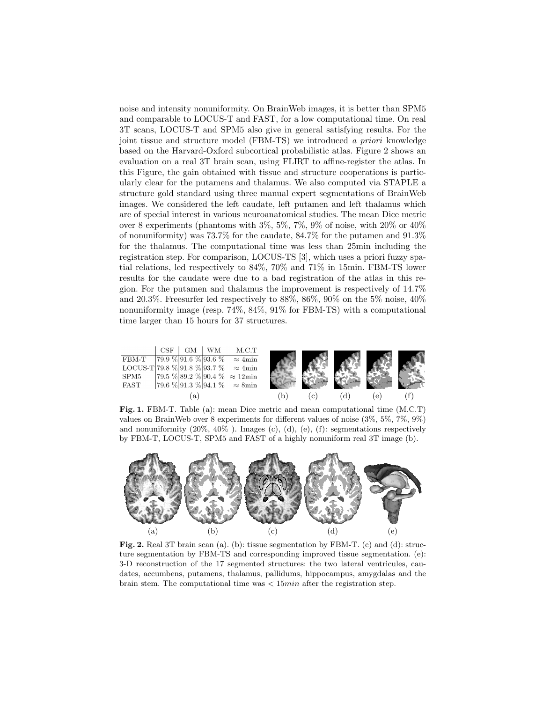noise and intensity nonuniformity. On BrainWeb images, it is better than SPM5 and comparable to LOCUS-T and FAST, for a low computational time. On real 3T scans, LOCUS-T and SPM5 also give in general satisfying results. For the joint tissue and structure model (FBM-TS) we introduced a priori knowledge based on the Harvard-Oxford subcortical probabilistic atlas. Figure 2 shows an evaluation on a real 3T brain scan, using FLIRT to affine-register the atlas. In this Figure, the gain obtained with tissue and structure cooperations is particularly clear for the putamens and thalamus. We also computed via STAPLE a structure gold standard using three manual expert segmentations of BrainWeb images. We considered the left caudate, left putamen and left thalamus which are of special interest in various neuroanatomical studies. The mean Dice metric over 8 experiments (phantoms with 3%, 5%, 7%, 9% of noise, with 20% or 40% of nonuniformity) was  $73.7\%$  for the caudate,  $84.7\%$  for the putamen and  $91.3\%$ for the thalamus. The computational time was less than 25min including the registration step. For comparison, LOCUS-TS [3], which uses a priori fuzzy spatial relations, led respectively to 84%, 70% and 71% in 15min. FBM-TS lower results for the caudate were due to a bad registration of the atlas in this region. For the putamen and thalamus the improvement is respectively of 14.7% and 20.3%. Freesurfer led respectively to  $88\%$ ,  $86\%$ ,  $90\%$  on the 5% noise,  $40\%$ nonuniformity image (resp. 74%, 84%, 91% for FBM-TS) with a computational time larger than 15 hours for 37 structures.



Fig. 1. FBM-T. Table (a): mean Dice metric and mean computational time (M.C.T) values on BrainWeb over 8 experiments for different values of noise (3%, 5%, 7%, 9%) and nonuniformity  $(20\%, 40\%)$ . Images  $(c)$ ,  $(d)$ ,  $(e)$ ,  $(f)$ : segmentations respectively by FBM-T, LOCUS-T, SPM5 and FAST of a highly nonuniform real 3T image (b).



Fig. 2. Real 3T brain scan (a). (b): tissue segmentation by FBM-T. (c) and (d): structure segmentation by FBM-TS and corresponding improved tissue segmentation. (e): 3-D reconstruction of the 17 segmented structures: the two lateral ventricules, caudates, accumbens, putamens, thalamus, pallidums, hippocampus, amygdalas and the brain stem. The computational time was  $<$  15 $min$  after the registration step.